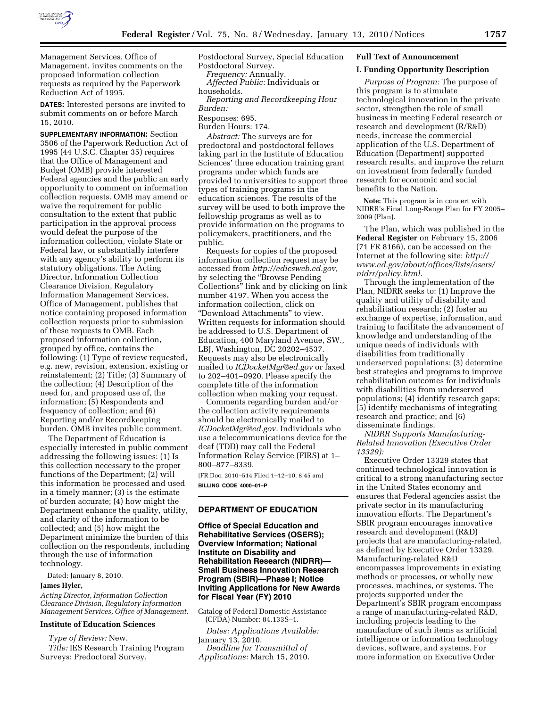

Management Services, Office of Management, invites comments on the proposed information collection requests as required by the Paperwork Reduction Act of 1995.

**DATES:** Interested persons are invited to submit comments on or before March 15, 2010.

**SUPPLEMENTARY INFORMATION:** Section 3506 of the Paperwork Reduction Act of 1995 (44 U.S.C. Chapter 35) requires that the Office of Management and Budget (OMB) provide interested Federal agencies and the public an early opportunity to comment on information collection requests. OMB may amend or waive the requirement for public consultation to the extent that public participation in the approval process would defeat the purpose of the information collection, violate State or Federal law, or substantially interfere with any agency's ability to perform its statutory obligations. The Acting Director, Information Collection Clearance Division, Regulatory Information Management Services, Office of Management, publishes that notice containing proposed information collection requests prior to submission of these requests to OMB. Each proposed information collection, grouped by office, contains the following: (1) Type of review requested, e.g. new, revision, extension, existing or reinstatement; (2) Title; (3) Summary of the collection; (4) Description of the need for, and proposed use of, the information; (5) Respondents and frequency of collection; and (6) Reporting and/or Recordkeeping burden. OMB invites public comment.

The Department of Education is especially interested in public comment addressing the following issues: (1) Is this collection necessary to the proper functions of the Department; (2) will this information be processed and used in a timely manner; (3) is the estimate of burden accurate; (4) how might the Department enhance the quality, utility, and clarity of the information to be collected; and (5) how might the Department minimize the burden of this collection on the respondents, including through the use of information technology.

Dated: January 8, 2010.

### **James Hyler,**

*Acting Director, Information Collection Clearance Division, Regulatory Information Management Services, Office of Management.* 

# **Institute of Education Sciences**

*Type of Review:* New. *Title:* IES Research Training Program Surveys: Predoctoral Survey,

Postdoctoral Survey, Special Education Postdoctoral Survey. *Frequency:* Annually.

*Affected Public:* Individuals or households.

*Reporting and Recordkeeping Hour Burden:* 

Responses: 695.

Burden Hours: 174.

*Abstract:* The surveys are for predoctoral and postdoctoral fellows taking part in the Institute of Education Sciences' three education training grant programs under which funds are provided to universities to support three types of training programs in the education sciences. The results of the survey will be used to both improve the fellowship programs as well as to provide information on the programs to policymakers, practitioners, and the public.

Requests for copies of the proposed information collection request may be accessed from *http://edicsweb.ed.gov,*  by selecting the ''Browse Pending Collections'' link and by clicking on link number 4197. When you access the information collection, click on ''Download Attachments'' to view. Written requests for information should be addressed to U.S. Department of Education, 400 Maryland Avenue, SW., LBJ, Washington, DC 20202–4537. Requests may also be electronically mailed to *ICDocketMgr@ed.gov* or faxed to 202–401–0920. Please specify the complete title of the information collection when making your request.

Comments regarding burden and/or the collection activity requirements should be electronically mailed to *ICDocketMgr@ed.gov.* Individuals who use a telecommunications device for the deaf (TDD) may call the Federal Information Relay Service (FIRS) at 1– 800–877–8339.

[FR Doc. 2010–514 Filed 1–12–10; 8:45 am] **BILLING CODE 4000–01–P** 

## **DEPARTMENT OF EDUCATION**

**Office of Special Education and Rehabilitative Services (OSERS); Overview Information; National Institute on Disability and Rehabilitation Research (NIDRR)— Small Business Innovation Research Program (SBIR)—Phase I; Notice Inviting Applications for New Awards for Fiscal Year (FY) 2010** 

Catalog of Federal Domestic Assistance (CFDA) Number: 84.133S–1.

*Dates: Applications Available:*  January 13, 2010. *Deadline for Transmittal of Applications:* March 15, 2010.

# **Full Text of Announcement**

# **I. Funding Opportunity Description**

*Purpose of Program:* The purpose of this program is to stimulate technological innovation in the private sector, strengthen the role of small business in meeting Federal research or research and development (R/R&D) needs, increase the commercial application of the U.S. Department of Education (Department) supported research results, and improve the return on investment from federally funded research for economic and social benefits to the Nation.

**Note:** This program is in concert with NIDRR's Final Long-Range Plan for FY 2005– 2009 (Plan).

The Plan, which was published in the **Federal Register** on February 15, 2006 (71 FR 8166), can be accessed on the Internet at the following site: *http:// www.ed.gov/about/offices/lists/osers/ nidrr/policy.html.* 

Through the implementation of the Plan, NIDRR seeks to: (1) Improve the quality and utility of disability and rehabilitation research; (2) foster an exchange of expertise, information, and training to facilitate the advancement of knowledge and understanding of the unique needs of individuals with disabilities from traditionally underserved populations; (3) determine best strategies and programs to improve rehabilitation outcomes for individuals with disabilities from underserved populations; (4) identify research gaps; (5) identify mechanisms of integrating research and practice; and (6) disseminate findings.

*NIDRR Supports Manufacturing-Related Innovation (Executive Order 13329):* 

Executive Order 13329 states that continued technological innovation is critical to a strong manufacturing sector in the United States economy and ensures that Federal agencies assist the private sector in its manufacturing innovation efforts. The Department's SBIR program encourages innovative research and development (R&D) projects that are manufacturing-related, as defined by Executive Order 13329. Manufacturing-related R&D encompasses improvements in existing methods or processes, or wholly new processes, machines, or systems. The projects supported under the Department's SBIR program encompass a range of manufacturing-related R&D, including projects leading to the manufacture of such items as artificial intelligence or information technology devices, software, and systems. For more information on Executive Order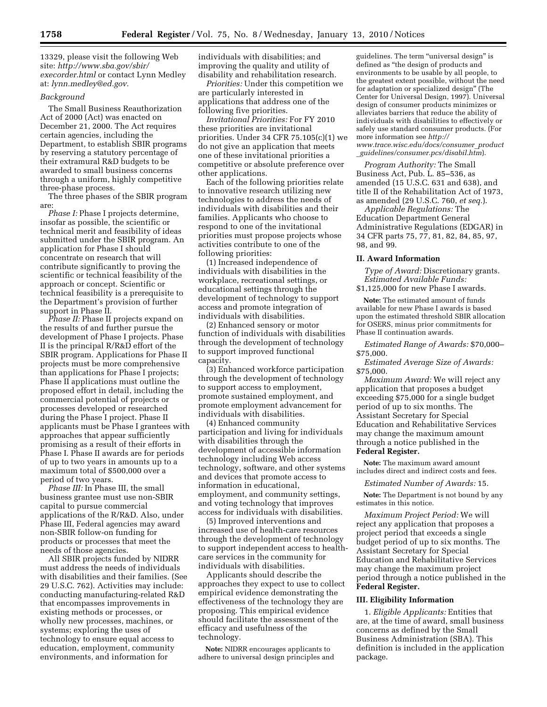13329, please visit the following Web site: *http://www.sba.gov/sbir/ execorder.html* or contact Lynn Medley at: *lynn.medley@ed.gov.* 

## *Background*

The Small Business Reauthorization Act of 2000 (Act) was enacted on December 21, 2000. The Act requires certain agencies, including the Department, to establish SBIR programs by reserving a statutory percentage of their extramural R&D budgets to be awarded to small business concerns through a uniform, highly competitive three-phase process.

The three phases of the SBIR program are:

*Phase I:* Phase I projects determine, insofar as possible, the scientific or technical merit and feasibility of ideas submitted under the SBIR program. An application for Phase I should concentrate on research that will contribute significantly to proving the scientific or technical feasibility of the approach or concept. Scientific or technical feasibility is a prerequisite to the Department's provision of further support in Phase II.

*Phase II:* Phase II projects expand on the results of and further pursue the development of Phase I projects. Phase II is the principal R/R&D effort of the SBIR program. Applications for Phase II projects must be more comprehensive than applications for Phase I projects; Phase II applications must outline the proposed effort in detail, including the commercial potential of projects or processes developed or researched during the Phase I project. Phase II applicants must be Phase I grantees with approaches that appear sufficiently promising as a result of their efforts in Phase I. Phase II awards are for periods of up to two years in amounts up to a maximum total of \$500,000 over a period of two years.

*Phase III:* In Phase III, the small business grantee must use non-SBIR capital to pursue commercial applications of the R/R&D. Also, under Phase III, Federal agencies may award non-SBIR follow-on funding for products or processes that meet the needs of those agencies.

All SBIR projects funded by NIDRR must address the needs of individuals with disabilities and their families. (See 29 U.S.C. 762). Activities may include: conducting manufacturing-related R&D that encompasses improvements in existing methods or processes, or wholly new processes, machines, or systems; exploring the uses of technology to ensure equal access to education, employment, community environments, and information for

individuals with disabilities; and improving the quality and utility of disability and rehabilitation research.

*Priorities:* Under this competition we are particularly interested in applications that address one of the following five priorities.

*Invitational Priorities:* For FY 2010 these priorities are invitational priorities. Under 34 CFR 75.105(c)(1) we do not give an application that meets one of these invitational priorities a competitive or absolute preference over other applications.

Each of the following priorities relate to innovative research utilizing new technologies to address the needs of individuals with disabilities and their families. Applicants who choose to respond to one of the invitational priorities must propose projects whose activities contribute to one of the following priorities:

(1) Increased independence of individuals with disabilities in the workplace, recreational settings, or educational settings through the development of technology to support access and promote integration of individuals with disabilities.

(2) Enhanced sensory or motor function of individuals with disabilities through the development of technology to support improved functional capacity.

(3) Enhanced workforce participation through the development of technology to support access to employment, promote sustained employment, and promote employment advancement for individuals with disabilities.

(4) Enhanced community participation and living for individuals with disabilities through the development of accessible information technology including Web access technology, software, and other systems and devices that promote access to information in educational, employment, and community settings, and voting technology that improves access for individuals with disabilities.

(5) Improved interventions and increased use of health-care resources through the development of technology to support independent access to healthcare services in the community for individuals with disabilities.

Applicants should describe the approaches they expect to use to collect empirical evidence demonstrating the effectiveness of the technology they are proposing. This empirical evidence should facilitate the assessment of the efficacy and usefulness of the technology.

**Note:** NIDRR encourages applicants to adhere to universal design principles and guidelines. The term ''universal design'' is defined as ''the design of products and environments to be usable by all people, to the greatest extent possible, without the need for adaptation or specialized design'' (The Center for Universal Design, 1997). Universal design of consumer products minimizes or alleviates barriers that reduce the ability of individuals with disabilities to effectively or safely use standard consumer products. (For more information see *http:// www.trace.wisc.edu/docs/consumer*\_*product* \_*guidelines/consumer.pcs/disabil.htm*).

*Program Authority:* The Small Business Act, Pub. L. 85–536, as amended (15 U.S.C. 631 and 638), and title II of the Rehabilitation Act of 1973, as amended (29 U.S.C. 760, *et seq.*).

*Applicable Regulations:* The Education Department General Administrative Regulations (EDGAR) in 34 CFR parts 75, 77, 81, 82, 84, 85, 97, 98, and 99.

### **II. Award Information**

*Type of Award:* Discretionary grants. *Estimated Available Funds:*  \$1,125,000 for new Phase I awards.

**Note:** The estimated amount of funds available for new Phase I awards is based upon the estimated threshold SBIR allocation for OSERS, minus prior commitments for Phase II continuation awards.

*Estimated Range of Awards:* \$70,000– \$75,000.

*Estimated Average Size of Awards:*  \$75,000.

*Maximum Award:* We will reject any application that proposes a budget exceeding \$75,000 for a single budget period of up to six months. The Assistant Secretary for Special Education and Rehabilitative Services may change the maximum amount through a notice published in the **Federal Register.** 

**Note:** The maximum award amount includes direct and indirect costs and fees.

#### *Estimated Number of Awards:* 15.

**Note:** The Department is not bound by any estimates in this notice.

*Maximum Project Period:* We will reject any application that proposes a project period that exceeds a single budget period of up to six months. The Assistant Secretary for Special Education and Rehabilitative Services may change the maximum project period through a notice published in the **Federal Register.** 

#### **III. Eligibility Information**

1. *Eligible Applicants:* Entities that are, at the time of award, small business concerns as defined by the Small Business Administration (SBA). This definition is included in the application package.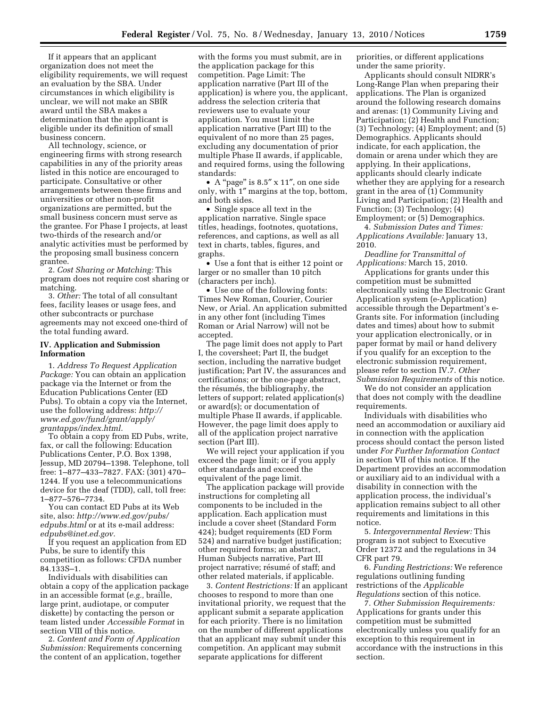If it appears that an applicant organization does not meet the eligibility requirements, we will request an evaluation by the SBA. Under circumstances in which eligibility is unclear, we will not make an SBIR award until the SBA makes a determination that the applicant is eligible under its definition of small business concern.

All technology, science, or engineering firms with strong research capabilities in any of the priority areas listed in this notice are encouraged to participate. Consultative or other arrangements between these firms and universities or other non-profit organizations are permitted, but the small business concern must serve as the grantee. For Phase I projects, at least two-thirds of the research and/or analytic activities must be performed by the proposing small business concern grantee.

2. *Cost Sharing or Matching:* This program does not require cost sharing or matching.

3. *Other:* The total of all consultant fees, facility leases or usage fees, and other subcontracts or purchase agreements may not exceed one-third of the total funding award.

# **IV. Application and Submission Information**

1. *Address To Request Application Package:* You can obtain an application package via the Internet or from the Education Publications Center (ED Pubs). To obtain a copy via the Internet, use the following address: *http:// www.ed.gov/fund/grant/apply/ grantapps/index.html.* 

To obtain a copy from ED Pubs, write, fax, or call the following: Education Publications Center, P.O. Box 1398, Jessup, MD 20794–1398. Telephone, toll free: 1–877–433–7827. FAX: (301) 470– 1244. If you use a telecommunications device for the deaf (TDD), call, toll free: 1–877–576–7734.

You can contact ED Pubs at its Web site, also: *http://www.ed.gov/pubs/ edpubs.html* or at its e-mail address: *edpubs@inet.ed.gov.* 

If you request an application from ED Pubs, be sure to identify this competition as follows: CFDA number 84.133S–1.

Individuals with disabilities can obtain a copy of the application package in an accessible format (*e.g.,* braille, large print, audiotape, or computer diskette) by contacting the person or team listed under *Accessible Format* in section VIII of this notice.

2. *Content and Form of Application Submission:* Requirements concerning the content of an application, together

with the forms you must submit, are in the application package for this competition. Page Limit: The application narrative (Part III of the application) is where you, the applicant, address the selection criteria that reviewers use to evaluate your application. You must limit the application narrative (Part III) to the equivalent of no more than 25 pages, excluding any documentation of prior multiple Phase II awards, if applicable, and required forms, using the following standards:

• A "page" is 8.5" x 11", on one side only, with 1″ margins at the top, bottom, and both sides.

• Single space all text in the application narrative. Single space titles, headings, footnotes, quotations, references, and captions, as well as all text in charts, tables, figures, and graphs.

• Use a font that is either 12 point or larger or no smaller than 10 pitch (characters per inch).

• Use one of the following fonts: Times New Roman, Courier, Courier New, or Arial. An application submitted in any other font (including Times Roman or Arial Narrow) will not be accepted.

The page limit does not apply to Part I, the coversheet; Part II, the budget section, including the narrative budget justification; Part IV, the assurances and certifications; or the one-page abstract, the résumés, the bibliography, the letters of support; related application(s) or award(s); or documentation of multiple Phase II awards, if applicable. However, the page limit does apply to all of the application project narrative section (Part III).

We will reject your application if you exceed the page limit; or if you apply other standards and exceed the equivalent of the page limit.

The application package will provide instructions for completing all components to be included in the application. Each application must include a cover sheet (Standard Form 424); budget requirements (ED Form 524) and narrative budget justification; other required forms; an abstract, Human Subjects narrative, Part III project narrative; résumé of staff; and other related materials, if applicable.

3. *Content Restrictions:* If an applicant chooses to respond to more than one invitational priority, we request that the applicant submit a separate application for each priority. There is no limitation on the number of different applications that an applicant may submit under this competition. An applicant may submit separate applications for different

priorities, or different applications under the same priority.

Applicants should consult NIDRR's Long-Range Plan when preparing their applications. The Plan is organized around the following research domains and arenas: (1) Community Living and Participation; (2) Health and Function; (3) Technology; (4) Employment; and (5) Demographics. Applicants should indicate, for each application, the domain or arena under which they are applying. In their applications, applicants should clearly indicate whether they are applying for a research grant in the area of (1) Community Living and Participation; (2) Health and Function; (3) Technology; (4) Employment; or (5) Demographics.

4. *Submission Dates and Times: Applications Available:* January 13, 2010.

*Deadline for Transmittal of Applications:* March 15, 2010.

Applications for grants under this competition must be submitted electronically using the Electronic Grant Application system (e-Application) accessible through the Department's e-Grants site. For information (including dates and times) about how to submit your application electronically, or in paper format by mail or hand delivery if you qualify for an exception to the electronic submission requirement, please refer to section IV.7. *Other Submission Requirements* of this notice.

We do not consider an application that does not comply with the deadline requirements.

Individuals with disabilities who need an accommodation or auxiliary aid in connection with the application process should contact the person listed under *For Further Information Contact*  in section VII of this notice. If the Department provides an accommodation or auxiliary aid to an individual with a disability in connection with the application process, the individual's application remains subject to all other requirements and limitations in this notice.

5. *Intergovernmental Review:* This program is not subject to Executive Order 12372 and the regulations in 34 CFR part 79.

6. *Funding Restrictions:* We reference regulations outlining funding restrictions of the *Applicable Regulations* section of this notice.

7. *Other Submission Requirements:*  Applications for grants under this competition must be submitted electronically unless you qualify for an exception to this requirement in accordance with the instructions in this section.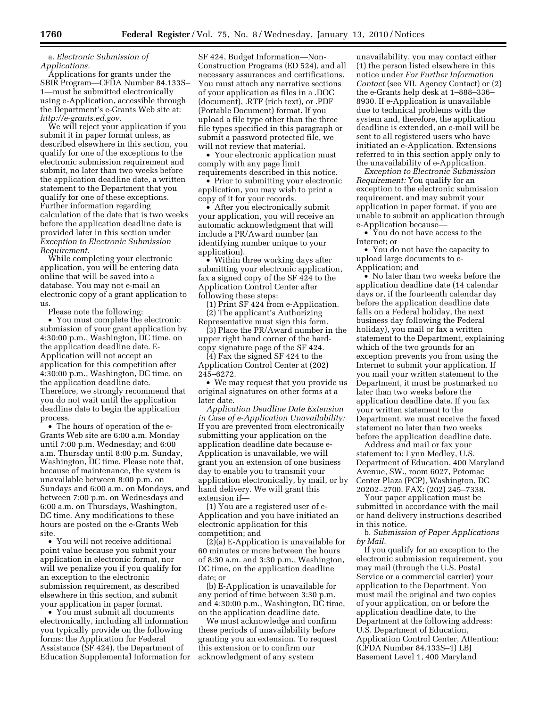a. *Electronic Submission of Applications.* 

Applications for grants under the SBIR Program—CFDA Number 84.133S– 1—must be submitted electronically using e-Application, accessible through the Department's e-Grants Web site at: *http://e-grants.ed.gov.* 

We will reject your application if you submit it in paper format unless, as described elsewhere in this section, you qualify for one of the exceptions to the electronic submission requirement and submit, no later than two weeks before the application deadline date, a written statement to the Department that you qualify for one of these exceptions. Further information regarding calculation of the date that is two weeks before the application deadline date is provided later in this section under *Exception to Electronic Submission Requirement.* 

While completing your electronic application, you will be entering data online that will be saved into a database. You may not e-mail an electronic copy of a grant application to us.

Please note the following:

• You must complete the electronic submission of your grant application by 4:30:00 p.m., Washington, DC time, on the application deadline date. E-Application will not accept an application for this competition after 4:30:00 p.m., Washington, DC time, on the application deadline date. Therefore, we strongly recommend that you do not wait until the application deadline date to begin the application process.

• The hours of operation of the e-Grants Web site are 6:00 a.m. Monday until 7:00 p.m. Wednesday; and 6:00 a.m. Thursday until 8:00 p.m. Sunday, Washington, DC time. Please note that, because of maintenance, the system is unavailable between 8:00 p.m. on Sundays and 6:00 a.m. on Mondays, and between 7:00 p.m. on Wednesdays and 6:00 a.m. on Thursdays, Washington, DC time. Any modifications to these hours are posted on the e-Grants Web site.

• You will not receive additional point value because you submit your application in electronic format, nor will we penalize you if you qualify for an exception to the electronic submission requirement, as described elsewhere in this section, and submit your application in paper format.

• You must submit all documents electronically, including all information you typically provide on the following forms: the Application for Federal Assistance (SF 424), the Department of Education Supplemental Information for SF 424, Budget Information—Non-Construction Programs (ED 524), and all necessary assurances and certifications. You must attach any narrative sections of your application as files in a .DOC (document), .RTF (rich text), or .PDF (Portable Document) format. If you upload a file type other than the three file types specified in this paragraph or submit a password protected file, we will not review that material.

• Your electronic application must comply with any page limit requirements described in this notice.

• Prior to submitting your electronic application, you may wish to print a copy of it for your records.

• After you electronically submit your application, you will receive an automatic acknowledgment that will include a PR/Award number (an identifying number unique to your application).

• Within three working days after submitting your electronic application, fax a signed copy of the SF 424 to the Application Control Center after following these steps:

(1) Print SF 424 from e-Application. (2) The applicant's Authorizing

Representative must sign this form. (3) Place the PR/Award number in the upper right hand corner of the hardcopy signature page of the SF 424.

(4) Fax the signed SF 424 to the Application Control Center at (202) 245–6272.

• We may request that you provide us original signatures on other forms at a later date.

*Application Deadline Date Extension in Case of e-Application Unavailability:*  If you are prevented from electronically submitting your application on the application deadline date because e-Application is unavailable, we will grant you an extension of one business day to enable you to transmit your application electronically, by mail, or by hand delivery. We will grant this extension if—

(1) You are a registered user of e-Application and you have initiated an electronic application for this competition; and

 $(2)$ (a) E-Application is unavailable for 60 minutes or more between the hours of 8:30 a.m. and 3:30 p.m., Washington, DC time, on the application deadline date; or

(b) E-Application is unavailable for any period of time between 3:30 p.m. and 4:30:00 p.m., Washington, DC time, on the application deadline date.

We must acknowledge and confirm these periods of unavailability before granting you an extension. To request this extension or to confirm our acknowledgment of any system

unavailability, you may contact either (1) the person listed elsewhere in this notice under *For Further Information Contact* (see VII. Agency Contact) or (2) the e-Grants help desk at 1–888–336– 8930. If e-Application is unavailable due to technical problems with the system and, therefore, the application deadline is extended, an e-mail will be sent to all registered users who have initiated an e-Application. Extensions referred to in this section apply only to the unavailability of e-Application.

*Exception to Electronic Submission Requirement:* You qualify for an exception to the electronic submission requirement, and may submit your application in paper format, if you are unable to submit an application through e-Application because-

• You do not have access to the Internet; or

• You do not have the capacity to upload large documents to e-Application; and

• No later than two weeks before the application deadline date (14 calendar days or, if the fourteenth calendar day before the application deadline date falls on a Federal holiday, the next business day following the Federal holiday), you mail or fax a written statement to the Department, explaining which of the two grounds for an exception prevents you from using the Internet to submit your application. If you mail your written statement to the Department, it must be postmarked no later than two weeks before the application deadline date. If you fax your written statement to the Department, we must receive the faxed statement no later than two weeks before the application deadline date.

Address and mail or fax your statement to: Lynn Medley, U.S. Department of Education, 400 Maryland Avenue, SW., room 6027, Potomac Center Plaza (PCP), Washington, DC 20202–2700. FAX: (202) 245–7338.

Your paper application must be submitted in accordance with the mail or hand delivery instructions described in this notice.

b. *Submission of Paper Applications by Mail.* 

If you qualify for an exception to the electronic submission requirement, you may mail (through the U.S. Postal Service or a commercial carrier) your application to the Department. You must mail the original and two copies of your application, on or before the application deadline date, to the Department at the following address: U.S. Department of Education, Application Control Center, Attention: (CFDA Number 84.133S–1) LBJ Basement Level 1, 400 Maryland